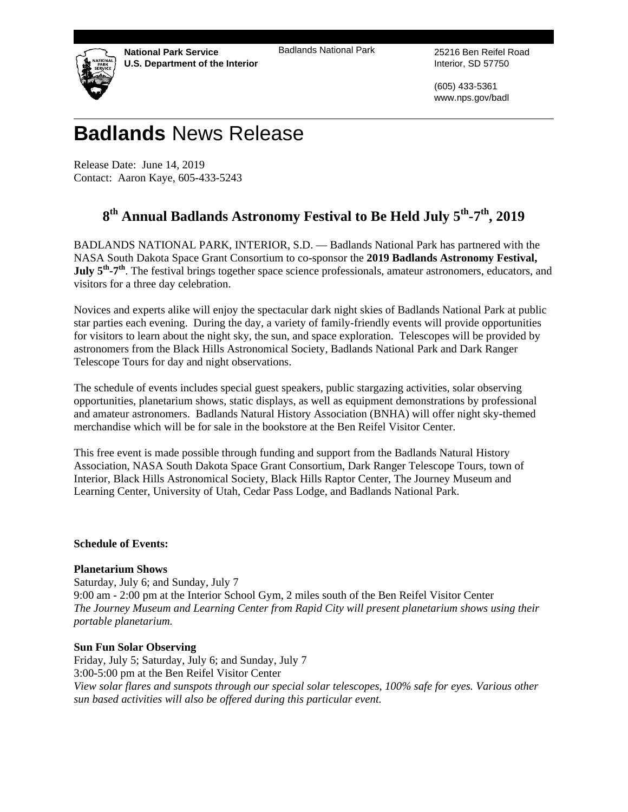**National Park Service U.S. Department of the Interior**  Badlands National Park 25216 Ben Reifel Road

Interior, SD 57750

(605) 433-5361 www.nps.gov/badl

# **Badlands** News Release

Release Date: June 14, 2019 Contact: Aaron Kaye, 605-433-5243

# 8<sup>th</sup> Annual Badlands Astronomy Festival to Be Held July 5<sup>th</sup>-7<sup>th</sup>, 2019

BADLANDS NATIONAL PARK, INTERIOR, S.D. — Badlands National Park has partnered with the NASA South Dakota Space Grant Consortium to co-sponsor the **2019 Badlands Astronomy Festival, July 5<sup>th</sup>-7<sup>th</sup>**. The festival brings together space science professionals, amateur astronomers, educators, and visitors for a three day celebration.

Novices and experts alike will enjoy the spectacular dark night skies of Badlands National Park at public star parties each evening. During the day, a variety of family-friendly events will provide opportunities for visitors to learn about the night sky, the sun, and space exploration. Telescopes will be provided by astronomers from the Black Hills Astronomical Society, Badlands National Park and Dark Ranger Telescope Tours for day and night observations.

The schedule of events includes special guest speakers, public stargazing activities, solar observing opportunities, planetarium shows, static displays, as well as equipment demonstrations by professional and amateur astronomers. Badlands Natural History Association (BNHA) will offer night sky-themed merchandise which will be for sale in the bookstore at the Ben Reifel Visitor Center.

This free event is made possible through funding and support from the Badlands Natural History Association, NASA South Dakota Space Grant Consortium, Dark Ranger Telescope Tours, town of Interior, Black Hills Astronomical Society, Black Hills Raptor Center, The Journey Museum and Learning Center, University of Utah, Cedar Pass Lodge, and Badlands National Park.

# **Schedule of Events:**

# **Planetarium Shows**

Saturday, July 6; and Sunday, July 7 9:00 am - 2:00 pm at the Interior School Gym, 2 miles south of the Ben Reifel Visitor Center *The Journey Museum and Learning Center from Rapid City will present planetarium shows using their portable planetarium.* 

# **Sun Fun Solar Observing**

Friday, July 5; Saturday, July 6; and Sunday, July 7 3:00-5:00 pm at the Ben Reifel Visitor Center *View solar flares and sunspots through our special solar telescopes, 100% safe for eyes. Various other sun based activities will also be offered during this particular event.*